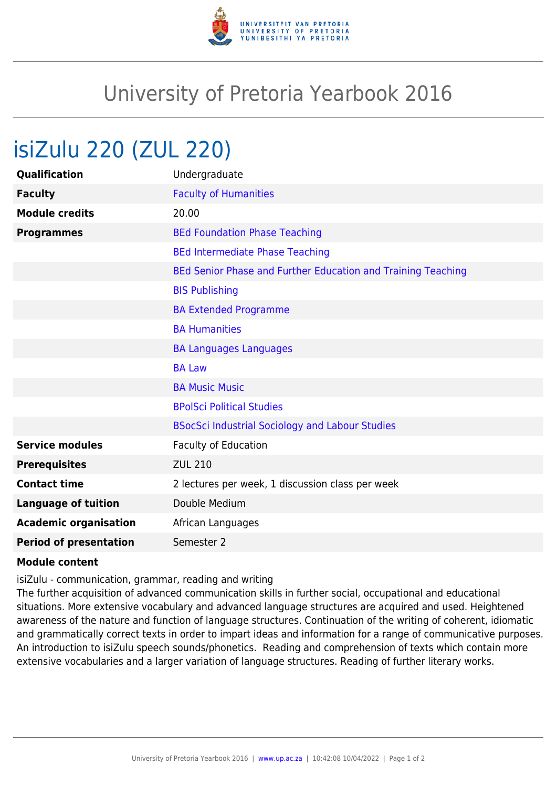

## University of Pretoria Yearbook 2016

## isiZulu 220 (ZUL 220)

| Qualification                 | Undergraduate                                                |
|-------------------------------|--------------------------------------------------------------|
| <b>Faculty</b>                | <b>Faculty of Humanities</b>                                 |
| <b>Module credits</b>         | 20.00                                                        |
| <b>Programmes</b>             | <b>BEd Foundation Phase Teaching</b>                         |
|                               | <b>BEd Intermediate Phase Teaching</b>                       |
|                               | BEd Senior Phase and Further Education and Training Teaching |
|                               | <b>BIS Publishing</b>                                        |
|                               | <b>BA Extended Programme</b>                                 |
|                               | <b>BA Humanities</b>                                         |
|                               | <b>BA Languages Languages</b>                                |
|                               | <b>BA Law</b>                                                |
|                               | <b>BA Music Music</b>                                        |
|                               | <b>BPolSci Political Studies</b>                             |
|                               | <b>BSocSci Industrial Sociology and Labour Studies</b>       |
| <b>Service modules</b>        | Faculty of Education                                         |
| <b>Prerequisites</b>          | <b>ZUL 210</b>                                               |
| <b>Contact time</b>           | 2 lectures per week, 1 discussion class per week             |
| <b>Language of tuition</b>    | Double Medium                                                |
| <b>Academic organisation</b>  | African Languages                                            |
| <b>Period of presentation</b> | Semester 2                                                   |

## **Module content**

isiZulu - communication, grammar, reading and writing

The further acquisition of advanced communication skills in further social, occupational and educational situations. More extensive vocabulary and advanced language structures are acquired and used. Heightened awareness of the nature and function of language structures. Continuation of the writing of coherent, idiomatic and grammatically correct texts in order to impart ideas and information for a range of communicative purposes. An introduction to isiZulu speech sounds/phonetics. Reading and comprehension of texts which contain more extensive vocabularies and a larger variation of language structures. Reading of further literary works.